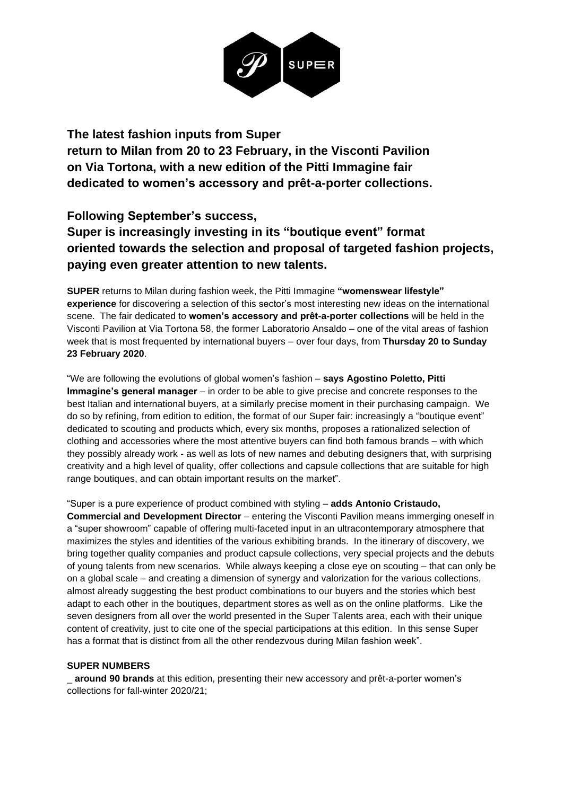

# **The latest fashion inputs from Super**

**return to Milan from 20 to 23 February, in the Visconti Pavilion on Via Tortona, with a new edition of the Pitti Immagine fair dedicated to women's accessory and prêt-a-porter collections.**

## **Following September's success,**

# **Super is increasingly investing in its "boutique event" format oriented towards the selection and proposal of targeted fashion projects, paying even greater attention to new talents.**

**SUPER** returns to Milan during fashion week, the Pitti Immagine **"womenswear lifestyle" experience** for discovering a selection of this sector's most interesting new ideas on the international scene. The fair dedicated to **women's accessory and prêt-a-porter collections** will be held in the Visconti Pavilion at Via Tortona 58, the former Laboratorio Ansaldo – one of the vital areas of fashion week that is most frequented by international buyers – over four days, from **Thursday 20 to Sunday 23 February 2020**.

"We are following the evolutions of global women's fashion – **says Agostino Poletto, Pitti Immagine's general manager** – in order to be able to give precise and concrete responses to the best Italian and international buyers, at a similarly precise moment in their purchasing campaign. We do so by refining, from edition to edition, the format of our Super fair: increasingly a "boutique event" dedicated to scouting and products which, every six months, proposes a rationalized selection of clothing and accessories where the most attentive buyers can find both famous brands – with which they possibly already work - as well as lots of new names and debuting designers that, with surprising creativity and a high level of quality, offer collections and capsule collections that are suitable for high range boutiques, and can obtain important results on the market".

"Super is a pure experience of product combined with styling – **adds Antonio Cristaudo,** 

**Commercial and Development Director** – entering the Visconti Pavilion means immerging oneself in a "super showroom" capable of offering multi-faceted input in an ultracontemporary atmosphere that maximizes the styles and identities of the various exhibiting brands. In the itinerary of discovery, we bring together quality companies and product capsule collections, very special projects and the debuts of young talents from new scenarios. While always keeping a close eye on scouting – that can only be on a global scale – and creating a dimension of synergy and valorization for the various collections, almost already suggesting the best product combinations to our buyers and the stories which best adapt to each other in the boutiques, department stores as well as on the online platforms. Like the seven designers from all over the world presented in the Super Talents area, each with their unique content of creativity, just to cite one of the special participations at this edition. In this sense Super has a format that is distinct from all the other rendezvous during Milan fashion week".

## **SUPER NUMBERS**

\_ **around 90 brands** at this edition, presenting their new accessory and prêt-a-porter women's collections for fall-winter 2020/21;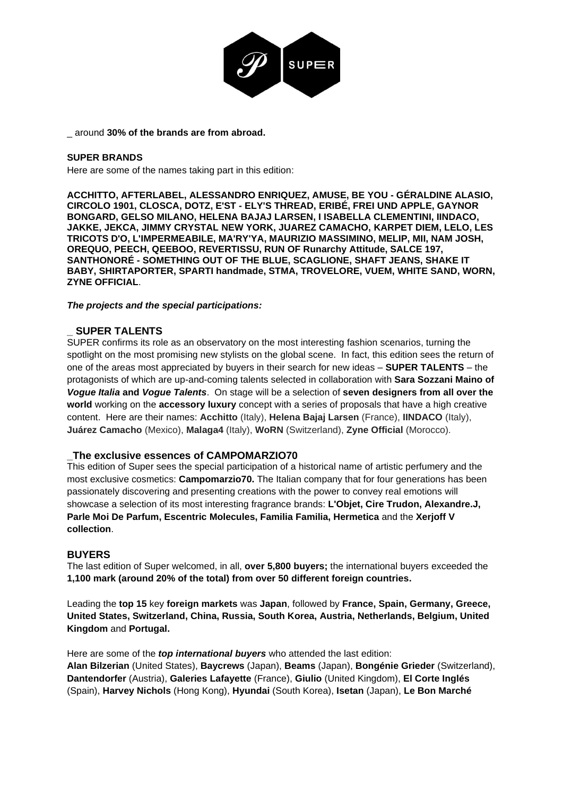

\_ around **30% of the brands are from abroad.**

#### **SUPER BRANDS**

Here are some of the names taking part in this edition:

**ACCHITTO, AFTERLABEL, ALESSANDRO ENRIQUEZ, AMUSE, BE YOU - GÉRALDINE ALASIO, CIRCOLO 1901, CLOSCA, DOTZ, E'ST - ELY'S THREAD, ERIBÉ, FREI UND APPLE, GAYNOR BONGARD, GELSO MILANO, HELENA BAJAJ LARSEN, I ISABELLA CLEMENTINI, IINDACO, JAKKE, JEKCA, JIMMY CRYSTAL NEW YORK, JUAREZ CAMACHO, KARPET DIEM, LELO, LES TRICOTS D'O, L'IMPERMEABILE, MA'RY'YA, MAURIZIO MASSIMINO, MELIP, MII, NAM JOSH, OREQUO, PEECH, QEEBOO, REVERTISSU, RUN OF Runarchy Attitude, SALCE 197, SANTHONORÉ - SOMETHING OUT OF THE BLUE, SCAGLIONE, SHAFT JEANS, SHAKE IT BABY, SHIRTAPORTER, SPARTI handmade, STMA, TROVELORE, VUEM, WHITE SAND, WORN, ZYNE OFFICIAL**.

#### *The projects and the special participations:*

#### **\_ SUPER TALENTS**

SUPER confirms its role as an observatory on the most interesting fashion scenarios, turning the spotlight on the most promising new stylists on the global scene. In fact, this edition sees the return of one of the areas most appreciated by buyers in their search for new ideas – **SUPER TALENTS** – the protagonists of which are up-and-coming talents selected in collaboration with **Sara Sozzani Maino of** *Vogue Italia* **and** *Vogue Talents*. On stage will be a selection of **seven designers from all over the world** working on the **accessory luxury** concept with a series of proposals that have a high creative content. Here are their names: **Acchitto** (Italy), **Helena Bajaj Larsen** (France), **IINDACO** (Italy), **Juárez Camacho** (Mexico), **Malaga4** (Italy), **WoRN** (Switzerland), **Zyne Official** (Morocco).

#### **\_The exclusive essences of CAMPOMARZIO70**

This edition of Super sees the special participation of a historical name of artistic perfumery and the most exclusive cosmetics: **Campomarzio70.** The Italian company that for four generations has been passionately discovering and presenting creations with the power to convey real emotions will showcase a selection of its most interesting fragrance brands: **L'Objet, Cire Trudon, Alexandre.J, Parle Moi De Parfum, Escentric Molecules, Familia Familia, Hermetica** and the **Xerjoff V collection**.

#### **BUYERS**

The last edition of Super welcomed, in all, **over 5,800 buyers;** the international buyers exceeded the **1,100 mark (around 20% of the total) from over 50 different foreign countries.**

Leading the **top 15** key **foreign markets** was **Japan**, followed by **France, Spain, Germany, Greece, United States, Switzerland, China, Russia, South Korea, Austria, Netherlands, Belgium, United Kingdom** and **Portugal.**

Here are some of the *top international buyers* who attended the last edition: **Alan Bilzerian** (United States), **Baycrews** (Japan), **Beams** (Japan), **Bongénie Grieder** (Switzerland), **Dantendorfer** (Austria), **Galeries Lafayette** (France), **Giulio** (United Kingdom), **El Corte Inglés** (Spain), **Harvey Nichols** (Hong Kong), **Hyundai** (South Korea), **Isetan** (Japan), **Le Bon Marché**